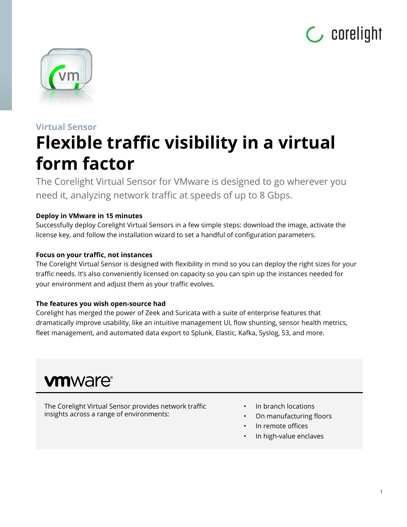



## **Virtual Sensor Flexible traffic visibility in a virtual form factor**

The Corelight Virtual Sensor for VMware is designed to go wherever you need it, analyzing network traffic at speeds of up to 8 Gbps.

#### **Deploy in VMware in 15 minutes**

Successfully deploy Corelight Virtual Sensors in a few simple steps: download the image, activate the license key, and follow the installation wizard to set a handful of configuration parameters.

#### **Focus on your traffic, not instances**

The Corelight Virtual Sensor is designed with flexibility in mind so you can deploy the right sizes for your traffic needs. It's also conveniently licensed on capacity so you can spin up the instances needed for your environment and adjust them as your traffic evolves.

#### **The features you wish open-source had**

Corelight has merged the power of Zeek and Suricata with a suite of enterprise features that dramatically improve usability, like an intuitive management UI, flow shunting, sensor health metrics, fleet management, and automated data export to Splunk, Elastic, Kafka, Syslog, S3, and more.

## **vm**ware<sup>®</sup>

The Corelight Virtual Sensor provides network traffic insights across a range of environments:

- In branch locations
- On manufacturing floors
- In remote offices
- In high-value enclaves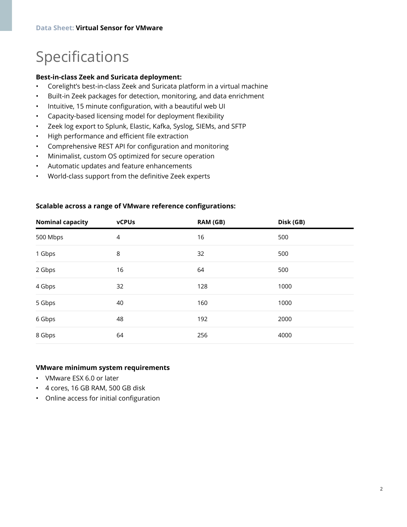## Specifications

#### **Best-in-class Zeek and Suricata deployment:**

- Corelight's best-in-class Zeek and Suricata platform in a virtual machine
- Built-in Zeek packages for detection, monitoring, and data enrichment
- Intuitive, 15 minute configuration, with a beautiful web UI
- Capacity-based licensing model for deployment flexibility
- Zeek log export to Splunk, Elastic, Kafka, Syslog, SIEMs, and SFTP
- High performance and efficient file extraction
- Comprehensive REST API for configuration and monitoring
- Minimalist, custom OS optimized for secure operation
- Automatic updates and feature enhancements
- World-class support from the definitive Zeek experts

| <b>Nominal capacity</b> | <b>vCPUs</b> | RAM (GB) | Disk (GB) |  |
|-------------------------|--------------|----------|-----------|--|
| 500 Mbps                | 4            | 16       | 500       |  |
| 1 Gbps                  | 8            | 32       | 500       |  |
| 2 Gbps                  | 16           | 64       | 500       |  |
| 4 Gbps                  | 32           | 128      | 1000      |  |
| 5 Gbps                  | 40           | 160      | 1000      |  |
| 6 Gbps                  | 48           | 192      | 2000      |  |
| 8 Gbps                  | 64           | 256      | 4000      |  |

#### **Scalable across a range of VMware reference configurations:**

#### **VMware minimum system requirements**

- VMware ESX 6.0 or later
- 4 cores, 16 GB RAM, 500 GB disk
- Online access for initial configuration